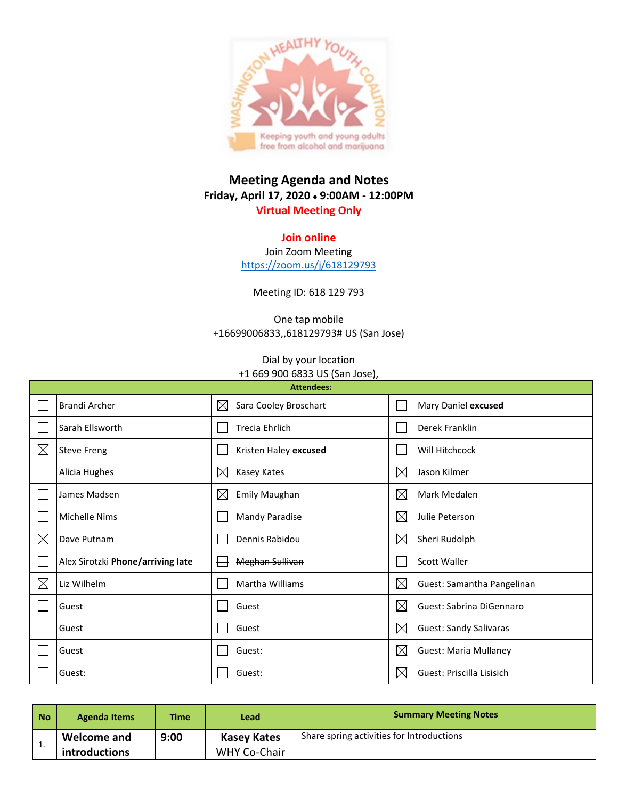

## **Meeting Agenda and Notes Friday, April 17, 2020** • **9:00AM - 12:00PM Virtual Meeting Only**

## **Join online**

Join Zoom Meeting <https://zoom.us/j/618129793>

Meeting ID: 618 129 793

One tap mobile +16699006833,,618129793# US (San Jose)

## Dial by your location +1 669 900 6833 US (San Jose),

| <b>Attendees:</b> |                                   |             |                        |             |                               |  |  |  |
|-------------------|-----------------------------------|-------------|------------------------|-------------|-------------------------------|--|--|--|
|                   | <b>Brandi Archer</b>              | $\times$    | Sara Cooley Broschart  |             | Mary Daniel excused           |  |  |  |
|                   | Sarah Ellsworth                   |             | Trecia Ehrlich         |             | Derek Franklin                |  |  |  |
| $\boxtimes$       | <b>Steve Freng</b>                |             | Kristen Haley excused  |             | Will Hitchcock                |  |  |  |
|                   | Alicia Hughes                     | $\boxtimes$ | <b>Kasey Kates</b>     | $\boxtimes$ | Jason Kilmer                  |  |  |  |
|                   | James Madsen                      | $\times$    | Emily Maughan          | $\boxtimes$ | Mark Medalen                  |  |  |  |
|                   | <b>Michelle Nims</b>              |             | <b>Mandy Paradise</b>  | $\boxtimes$ | Julie Peterson                |  |  |  |
| $\boxtimes$       | Dave Putnam                       |             | Dennis Rabidou         | $\boxtimes$ | Sheri Rudolph                 |  |  |  |
|                   | Alex Sirotzki Phone/arriving late |             | <b>Meghan Sullivan</b> |             | <b>Scott Waller</b>           |  |  |  |
| $\boxtimes$       | Liz Wilhelm                       |             | Martha Williams        | $\boxtimes$ | Guest: Samantha Pangelinan    |  |  |  |
|                   | Guest                             |             | Guest                  | $\boxtimes$ | Guest: Sabrina DiGennaro      |  |  |  |
|                   | Guest                             |             | Guest                  | $\boxtimes$ | <b>Guest: Sandy Salivaras</b> |  |  |  |
|                   | Guest                             |             | Guest:                 | $\boxtimes$ | <b>Guest: Maria Mullaney</b>  |  |  |  |
|                   | Guest:                            |             | Guest:                 | $\boxtimes$ | Guest: Priscilla Lisisich     |  |  |  |

| No | <b>Agenda Items</b>                 | <b>Time</b> | Lead                               | <b>Summary Meeting Notes</b>              |
|----|-------------------------------------|-------------|------------------------------------|-------------------------------------------|
| ᆠ. | <b>Welcome and</b><br>introductions | 9:00        | Kasey Kates<br><b>WHY Co-Chair</b> | Share spring activities for Introductions |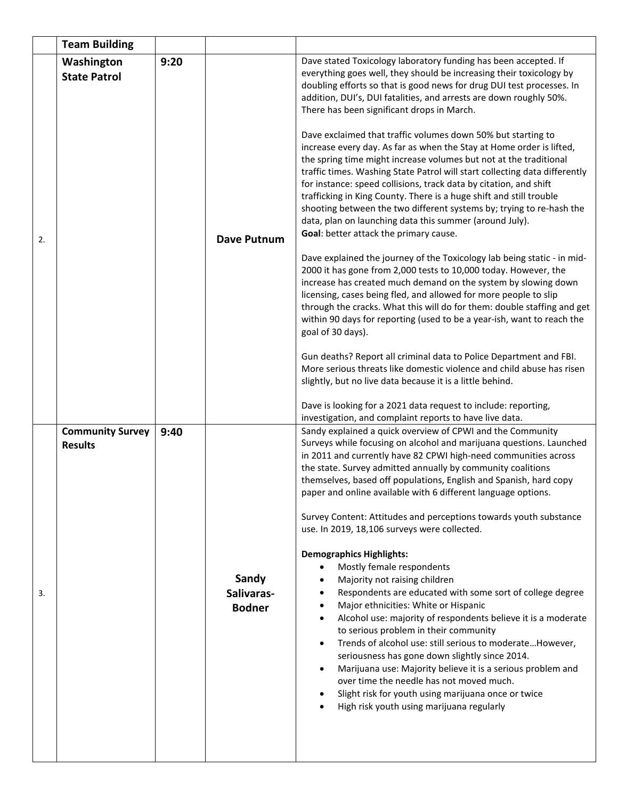|    | <b>Team Building</b>                      |      |                                      |                                                                                                                                                                                                                                                                                                                                                                                                                                                                                                                                                                                                                                                                                                                                                                                                                                                                                                                                                                                                                                                                                                                                                                                                                                                                                                                                                                                                                                                                                             |  |  |  |  |
|----|-------------------------------------------|------|--------------------------------------|---------------------------------------------------------------------------------------------------------------------------------------------------------------------------------------------------------------------------------------------------------------------------------------------------------------------------------------------------------------------------------------------------------------------------------------------------------------------------------------------------------------------------------------------------------------------------------------------------------------------------------------------------------------------------------------------------------------------------------------------------------------------------------------------------------------------------------------------------------------------------------------------------------------------------------------------------------------------------------------------------------------------------------------------------------------------------------------------------------------------------------------------------------------------------------------------------------------------------------------------------------------------------------------------------------------------------------------------------------------------------------------------------------------------------------------------------------------------------------------------|--|--|--|--|
| 2. | Washington<br><b>State Patrol</b>         | 9:20 | <b>Dave Putnum</b>                   | Dave stated Toxicology laboratory funding has been accepted. If<br>everything goes well, they should be increasing their toxicology by<br>doubling efforts so that is good news for drug DUI test processes. In<br>addition, DUI's, DUI fatalities, and arrests are down roughly 50%.<br>There has been significant drops in March.<br>Dave exclaimed that traffic volumes down 50% but starting to<br>increase every day. As far as when the Stay at Home order is lifted,<br>the spring time might increase volumes but not at the traditional<br>traffic times. Washing State Patrol will start collecting data differently<br>for instance: speed collisions, track data by citation, and shift<br>trafficking in King County. There is a huge shift and still trouble<br>shooting between the two different systems by; trying to re-hash the<br>data, plan on launching data this summer (around July).<br>Goal: better attack the primary cause.<br>Dave explained the journey of the Toxicology lab being static - in mid-<br>2000 it has gone from 2,000 tests to 10,000 today. However, the<br>increase has created much demand on the system by slowing down<br>licensing, cases being fled, and allowed for more people to slip<br>through the cracks. What this will do for them: double staffing and get<br>within 90 days for reporting (used to be a year-ish, want to reach the<br>goal of 30 days).<br>Gun deaths? Report all criminal data to Police Department and FBI. |  |  |  |  |
|    |                                           |      |                                      | More serious threats like domestic violence and child abuse has risen<br>slightly, but no live data because it is a little behind.<br>Dave is looking for a 2021 data request to include: reporting,<br>investigation, and complaint reports to have live data.                                                                                                                                                                                                                                                                                                                                                                                                                                                                                                                                                                                                                                                                                                                                                                                                                                                                                                                                                                                                                                                                                                                                                                                                                             |  |  |  |  |
| 3. | <b>Community Survey</b><br><b>Results</b> | 9:40 | Sandy<br>Salivaras-<br><b>Bodner</b> | Sandy explained a quick overview of CPWI and the Community<br>Surveys while focusing on alcohol and marijuana questions. Launched<br>in 2011 and currently have 82 CPWI high-need communities across<br>the state. Survey admitted annually by community coalitions<br>themselves, based off populations, English and Spanish, hard copy<br>paper and online available with 6 different language options.<br>Survey Content: Attitudes and perceptions towards youth substance<br>use. In 2019, 18,106 surveys were collected.<br><b>Demographics Highlights:</b><br>Mostly female respondents<br>$\bullet$<br>Majority not raising children<br>Respondents are educated with some sort of college degree<br>Major ethnicities: White or Hispanic<br>$\bullet$<br>Alcohol use: majority of respondents believe it is a moderate<br>$\bullet$<br>to serious problem in their community<br>Trends of alcohol use: still serious to moderate However,<br>$\bullet$<br>seriousness has gone down slightly since 2014.<br>Marijuana use: Majority believe it is a serious problem and<br>$\bullet$<br>over time the needle has not moved much.<br>Slight risk for youth using marijuana once or twice<br>$\bullet$<br>High risk youth using marijuana regularly                                                                                                                                                                                                                                  |  |  |  |  |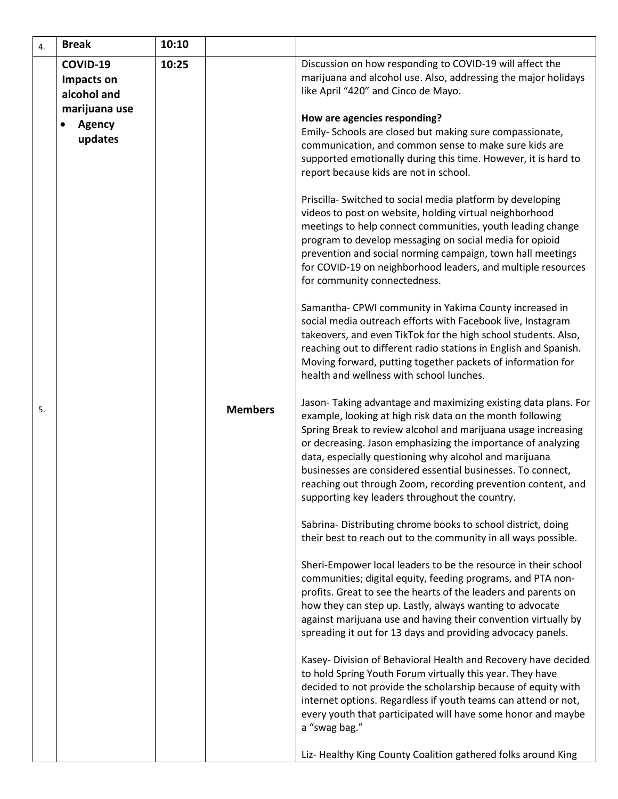| 4. | <b>Break</b>                              | 10:10 |                |                                                                                                                                                                                                                                                                                                                                                                                                                                                                                                         |
|----|-------------------------------------------|-------|----------------|---------------------------------------------------------------------------------------------------------------------------------------------------------------------------------------------------------------------------------------------------------------------------------------------------------------------------------------------------------------------------------------------------------------------------------------------------------------------------------------------------------|
|    | COVID-19<br>Impacts on<br>alcohol and     | 10:25 |                | Discussion on how responding to COVID-19 will affect the<br>marijuana and alcohol use. Also, addressing the major holidays<br>like April "420" and Cinco de Mayo.                                                                                                                                                                                                                                                                                                                                       |
|    | marijuana use<br><b>Agency</b><br>updates |       |                | How are agencies responding?<br>Emily- Schools are closed but making sure compassionate,<br>communication, and common sense to make sure kids are<br>supported emotionally during this time. However, it is hard to<br>report because kids are not in school.                                                                                                                                                                                                                                           |
|    |                                           |       |                | Priscilla- Switched to social media platform by developing<br>videos to post on website, holding virtual neighborhood<br>meetings to help connect communities, youth leading change<br>program to develop messaging on social media for opioid<br>prevention and social norming campaign, town hall meetings<br>for COVID-19 on neighborhood leaders, and multiple resources<br>for community connectedness.                                                                                            |
|    |                                           |       |                | Samantha- CPWI community in Yakima County increased in<br>social media outreach efforts with Facebook live, Instagram<br>takeovers, and even TikTok for the high school students. Also,<br>reaching out to different radio stations in English and Spanish.<br>Moving forward, putting together packets of information for<br>health and wellness with school lunches.                                                                                                                                  |
| 5. |                                           |       | <b>Members</b> | Jason-Taking advantage and maximizing existing data plans. For<br>example, looking at high risk data on the month following<br>Spring Break to review alcohol and marijuana usage increasing<br>or decreasing. Jason emphasizing the importance of analyzing<br>data, especially questioning why alcohol and marijuana<br>businesses are considered essential businesses. To connect,<br>reaching out through Zoom, recording prevention content, and<br>supporting key leaders throughout the country. |
|    |                                           |       |                | Sabrina-Distributing chrome books to school district, doing<br>their best to reach out to the community in all ways possible.                                                                                                                                                                                                                                                                                                                                                                           |
|    |                                           |       |                | Sheri-Empower local leaders to be the resource in their school<br>communities; digital equity, feeding programs, and PTA non-<br>profits. Great to see the hearts of the leaders and parents on<br>how they can step up. Lastly, always wanting to advocate<br>against marijuana use and having their convention virtually by<br>spreading it out for 13 days and providing advocacy panels.                                                                                                            |
|    |                                           |       |                | Kasey- Division of Behavioral Health and Recovery have decided<br>to hold Spring Youth Forum virtually this year. They have<br>decided to not provide the scholarship because of equity with<br>internet options. Regardless if youth teams can attend or not,<br>every youth that participated will have some honor and maybe<br>a "swag bag."                                                                                                                                                         |
|    |                                           |       |                | Liz- Healthy King County Coalition gathered folks around King                                                                                                                                                                                                                                                                                                                                                                                                                                           |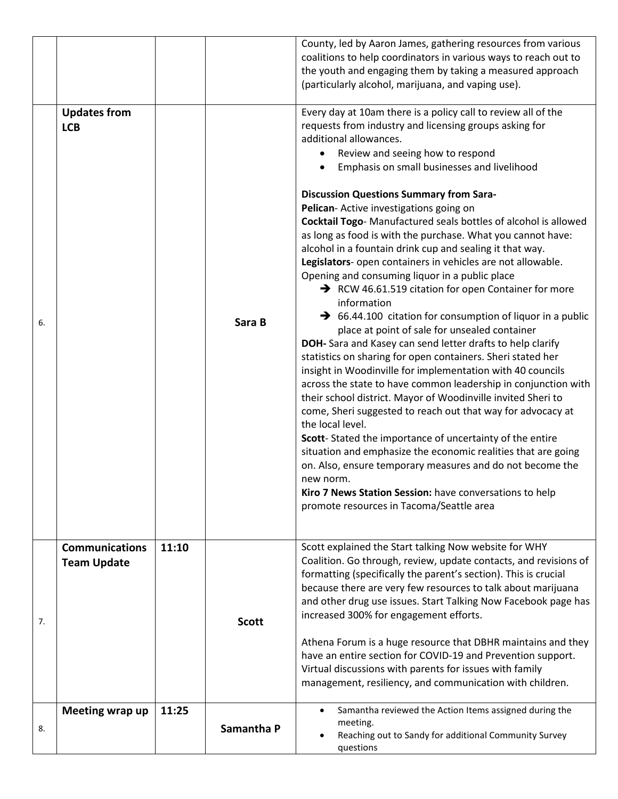|    |                                             |       |              | County, led by Aaron James, gathering resources from various<br>coalitions to help coordinators in various ways to reach out to<br>the youth and engaging them by taking a measured approach<br>(particularly alcohol, marijuana, and vaping use).                                                                                                                                                                                                                                                                                                                                                                                                                                                                                                                                                                                                                                                                                                                                                                                                                                                                                                                                                                                                                                                                                                                                                                                                                                                                                                                                                       |
|----|---------------------------------------------|-------|--------------|----------------------------------------------------------------------------------------------------------------------------------------------------------------------------------------------------------------------------------------------------------------------------------------------------------------------------------------------------------------------------------------------------------------------------------------------------------------------------------------------------------------------------------------------------------------------------------------------------------------------------------------------------------------------------------------------------------------------------------------------------------------------------------------------------------------------------------------------------------------------------------------------------------------------------------------------------------------------------------------------------------------------------------------------------------------------------------------------------------------------------------------------------------------------------------------------------------------------------------------------------------------------------------------------------------------------------------------------------------------------------------------------------------------------------------------------------------------------------------------------------------------------------------------------------------------------------------------------------------|
| 6. | <b>Updates from</b><br><b>LCB</b>           |       | Sara B       | Every day at 10am there is a policy call to review all of the<br>requests from industry and licensing groups asking for<br>additional allowances.<br>Review and seeing how to respond<br>$\bullet$<br>Emphasis on small businesses and livelihood<br><b>Discussion Questions Summary from Sara-</b><br>Pelican- Active investigations going on<br>Cocktail Togo-Manufactured seals bottles of alcohol is allowed<br>as long as food is with the purchase. What you cannot have:<br>alcohol in a fountain drink cup and sealing it that way.<br>Legislators- open containers in vehicles are not allowable.<br>Opening and consuming liquor in a public place<br>$\rightarrow$ RCW 46.61.519 citation for open Container for more<br>information<br>$\rightarrow$ 66.44.100 citation for consumption of liquor in a public<br>place at point of sale for unsealed container<br>DOH- Sara and Kasey can send letter drafts to help clarify<br>statistics on sharing for open containers. Sheri stated her<br>insight in Woodinville for implementation with 40 councils<br>across the state to have common leadership in conjunction with<br>their school district. Mayor of Woodinville invited Sheri to<br>come, Sheri suggested to reach out that way for advocacy at<br>the local level.<br>Scott-Stated the importance of uncertainty of the entire<br>situation and emphasize the economic realities that are going<br>on. Also, ensure temporary measures and do not become the<br>new norm.<br>Kiro 7 News Station Session: have conversations to help<br>promote resources in Tacoma/Seattle area |
| 7. | <b>Communications</b><br><b>Team Update</b> | 11:10 | <b>Scott</b> | Scott explained the Start talking Now website for WHY<br>Coalition. Go through, review, update contacts, and revisions of<br>formatting (specifically the parent's section). This is crucial<br>because there are very few resources to talk about marijuana<br>and other drug use issues. Start Talking Now Facebook page has<br>increased 300% for engagement efforts.<br>Athena Forum is a huge resource that DBHR maintains and they<br>have an entire section for COVID-19 and Prevention support.<br>Virtual discussions with parents for issues with family<br>management, resiliency, and communication with children.                                                                                                                                                                                                                                                                                                                                                                                                                                                                                                                                                                                                                                                                                                                                                                                                                                                                                                                                                                           |
| 8. | Meeting wrap up                             | 11:25 | Samantha P   | Samantha reviewed the Action Items assigned during the<br>$\bullet$<br>meeting.<br>Reaching out to Sandy for additional Community Survey<br>$\bullet$<br>questions                                                                                                                                                                                                                                                                                                                                                                                                                                                                                                                                                                                                                                                                                                                                                                                                                                                                                                                                                                                                                                                                                                                                                                                                                                                                                                                                                                                                                                       |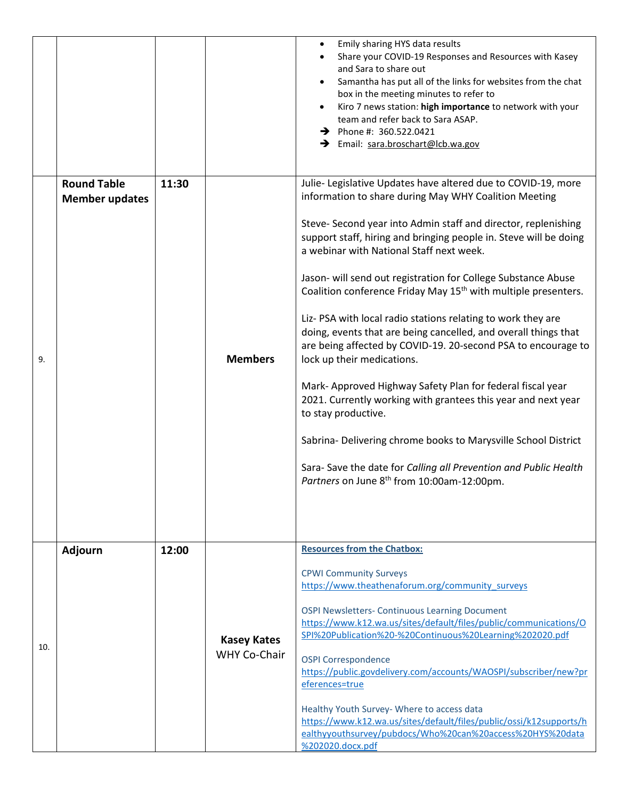|     |                       |       |                                           | Emily sharing HYS data results<br>$\bullet$<br>Share your COVID-19 Responses and Resources with Kasey<br>and Sara to share out<br>Samantha has put all of the links for websites from the chat<br>box in the meeting minutes to refer to<br>Kiro 7 news station: high importance to network with your<br>team and refer back to Sara ASAP.<br>$\rightarrow$ Phone #: 360.522.0421<br>→ Email: sara.broschart@lcb.wa.gov |  |  |
|-----|-----------------------|-------|-------------------------------------------|-------------------------------------------------------------------------------------------------------------------------------------------------------------------------------------------------------------------------------------------------------------------------------------------------------------------------------------------------------------------------------------------------------------------------|--|--|
|     | <b>Round Table</b>    | 11:30 |                                           | Julie- Legislative Updates have altered due to COVID-19, more                                                                                                                                                                                                                                                                                                                                                           |  |  |
|     | <b>Member updates</b> |       |                                           | information to share during May WHY Coalition Meeting                                                                                                                                                                                                                                                                                                                                                                   |  |  |
|     |                       |       |                                           | Steve- Second year into Admin staff and director, replenishing<br>support staff, hiring and bringing people in. Steve will be doing<br>a webinar with National Staff next week.                                                                                                                                                                                                                                         |  |  |
|     |                       |       | <b>Members</b>                            | Jason- will send out registration for College Substance Abuse<br>Coalition conference Friday May 15 <sup>th</sup> with multiple presenters.                                                                                                                                                                                                                                                                             |  |  |
| 9.  |                       |       |                                           | Liz- PSA with local radio stations relating to work they are<br>doing, events that are being cancelled, and overall things that<br>are being affected by COVID-19. 20-second PSA to encourage to<br>lock up their medications.                                                                                                                                                                                          |  |  |
|     |                       |       |                                           | Mark- Approved Highway Safety Plan for federal fiscal year<br>2021. Currently working with grantees this year and next year<br>to stay productive.                                                                                                                                                                                                                                                                      |  |  |
|     |                       |       |                                           | Sabrina- Delivering chrome books to Marysville School District                                                                                                                                                                                                                                                                                                                                                          |  |  |
|     |                       |       |                                           | Sara-Save the date for Calling all Prevention and Public Health<br>Partners on June 8 <sup>th</sup> from 10:00am-12:00pm.                                                                                                                                                                                                                                                                                               |  |  |
|     |                       |       |                                           |                                                                                                                                                                                                                                                                                                                                                                                                                         |  |  |
|     | <b>Adjourn</b>        | 12:00 |                                           | <b>Resources from the Chatbox:</b>                                                                                                                                                                                                                                                                                                                                                                                      |  |  |
|     |                       |       |                                           | <b>CPWI Community Surveys</b><br>https://www.theathenaforum.org/community surveys                                                                                                                                                                                                                                                                                                                                       |  |  |
| 10. |                       |       | <b>Kasey Kates</b><br><b>WHY Co-Chair</b> | <b>OSPI Newsletters- Continuous Learning Document</b><br>https://www.k12.wa.us/sites/default/files/public/communications/O<br>SPI%20Publication%20-%20Continuous%20Learning%202020.pdf                                                                                                                                                                                                                                  |  |  |
|     |                       |       |                                           | <b>OSPI Correspondence</b><br>https://public.govdelivery.com/accounts/WAOSPI/subscriber/new?pr<br>eferences=true                                                                                                                                                                                                                                                                                                        |  |  |
|     |                       |       |                                           | Healthy Youth Survey- Where to access data<br>https://www.k12.wa.us/sites/default/files/public/ossi/k12supports/h<br>ealthyyouthsurvey/pubdocs/Who%20can%20access%20HYS%20data<br>%202020.docx.pdf                                                                                                                                                                                                                      |  |  |